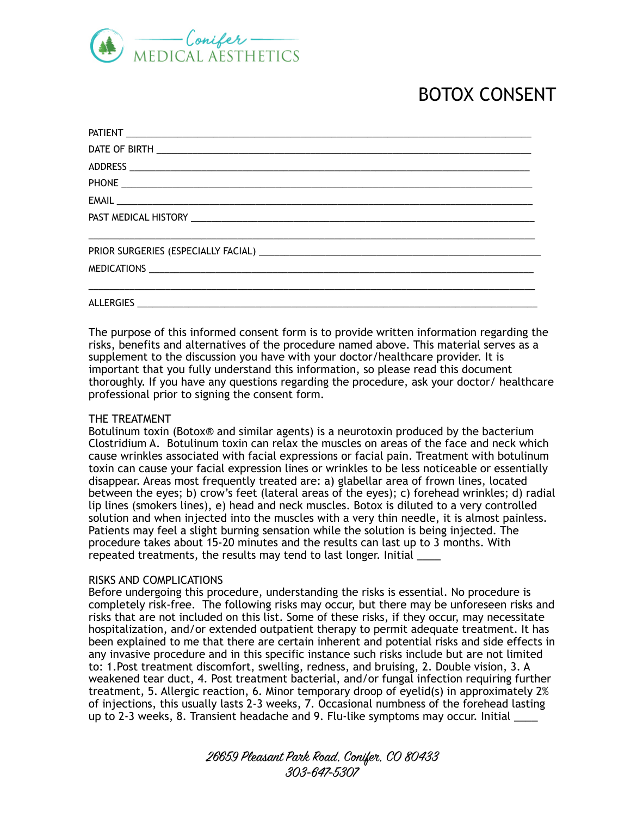

# BOTOX CONSENT

| ,我们也不能会在这里,我们也不能会在这里,我们也不能会在这里,我们也不能会在这里,我们也不能会在这里,我们也不能会在这里,我们也不能会不能会不能会。""我们,我们 |
|-----------------------------------------------------------------------------------|
|                                                                                   |

The purpose of this informed consent form is to provide written information regarding the risks, benefits and alternatives of the procedure named above. This material serves as a supplement to the discussion you have with your doctor/healthcare provider. It is important that you fully understand this information, so please read this document thoroughly. If you have any questions regarding the procedure, ask your doctor/ healthcare professional prior to signing the consent form.

# THE TREATMENT

Botulinum toxin (Botox® and similar agents) is a neurotoxin produced by the bacterium Clostridium A. Botulinum toxin can relax the muscles on areas of the face and neck which cause wrinkles associated with facial expressions or facial pain. Treatment with botulinum toxin can cause your facial expression lines or wrinkles to be less noticeable or essentially disappear. Areas most frequently treated are: a) glabellar area of frown lines, located between the eyes; b) crow's feet (lateral areas of the eyes); c) forehead wrinkles; d) radial lip lines (smokers lines), e) head and neck muscles. Botox is diluted to a very controlled solution and when injected into the muscles with a very thin needle, it is almost painless. Patients may feel a slight burning sensation while the solution is being injected. The procedure takes about 15-20 minutes and the results can last up to 3 months. With repeated treatments, the results may tend to last longer. Initial \_\_\_\_

#### RISKS AND COMPLICATIONS

Before undergoing this procedure, understanding the risks is essential. No procedure is completely risk-free. The following risks may occur, but there may be unforeseen risks and risks that are not included on this list. Some of these risks, if they occur, may necessitate hospitalization, and/or extended outpatient therapy to permit adequate treatment. It has been explained to me that there are certain inherent and potential risks and side effects in any invasive procedure and in this specific instance such risks include but are not limited to: 1.Post treatment discomfort, swelling, redness, and bruising, 2. Double vision, 3. A weakened tear duct, 4. Post treatment bacterial, and/or fungal infection requiring further treatment, 5. Allergic reaction, 6. Minor temporary droop of eyelid(s) in approximately 2% of injections, this usually lasts 2-3 weeks, 7. Occasional numbness of the forehead lasting up to 2-3 weeks, 8. Transient headache and 9. Flu-like symptoms may occur. Initial \_\_\_\_

> 26659 Pleasant Park Road, Conifer, CO 80433 303-647-5307